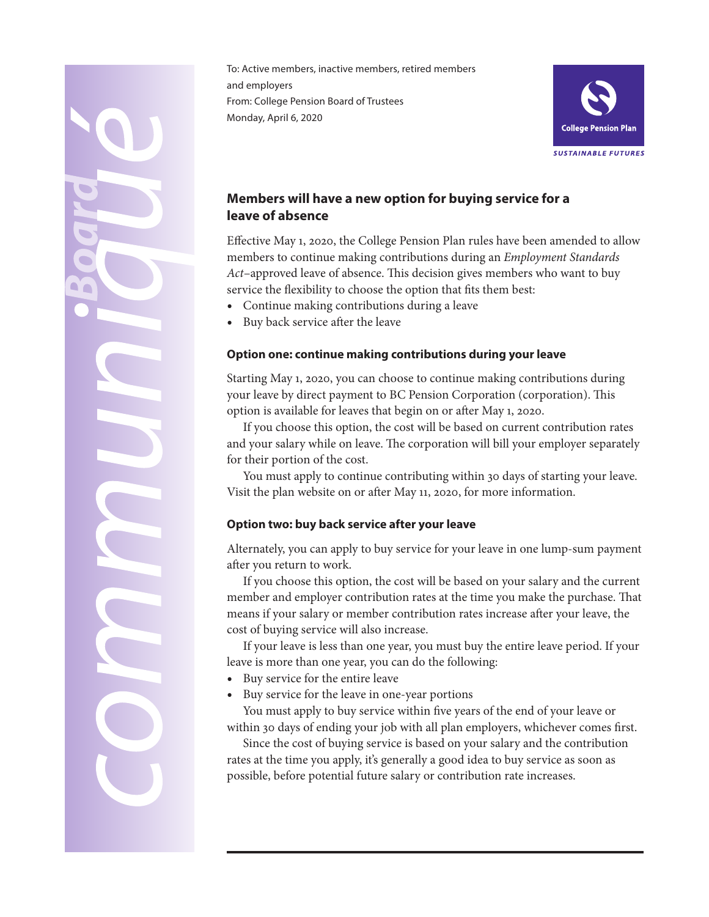To: Active members, inactive members, retired members and employers From: College Pension Board of Trustees Monday, April 6, 2020



# **Members will have a new option for buying service for a leave of absence**

Effective May 1, 2020, the College Pension Plan rules have been amended to allow members to continue making contributions during an *Employment Standards Act*–approved leave of absence. This decision gives members who want to buy service the flexibility to choose the option that fits them best:

- Continue making contributions during a leave
- Buy back service after the leave

O

## **Option one: continue making contributions during your leave**

Starting May 1, 2020, you can choose to continue making contributions during your leave by direct payment to BC Pension Corporation (corporation). This option is available for leaves that begin on or after May 1, 2020.

If you choose this option, the cost will be based on current contribution rates and your salary while on leave. The corporation will bill your employer separately for their portion of the cost.

You must apply to continue contributing within 30 days of starting your leave. Visit the plan website on or after May 11, 2020, for more information.

## **Option two: buy back service after your leave**

Alternately, you can apply to buy service for your leave in one lump-sum payment after you return to work.

If you choose this option, the cost will be based on your salary and the current member and employer contribution rates at the time you make the purchase. That means if your salary or member contribution rates increase after your leave, the cost of buying service will also increase.

If your leave is less than one year, you must buy the entire leave period. If your leave is more than one year, you can do the following:

- Buy service for the entire leave
- Buy service for the leave in one-year portions

You must apply to buy service within five years of the end of your leave or within 30 days of ending your job with all plan employers, whichever comes first.

Since the cost of buying service is based on your salary and the contribution rates at the time you apply, it's generally a good idea to buy service as soon as possible, before potential future salary or contribution rate increases.